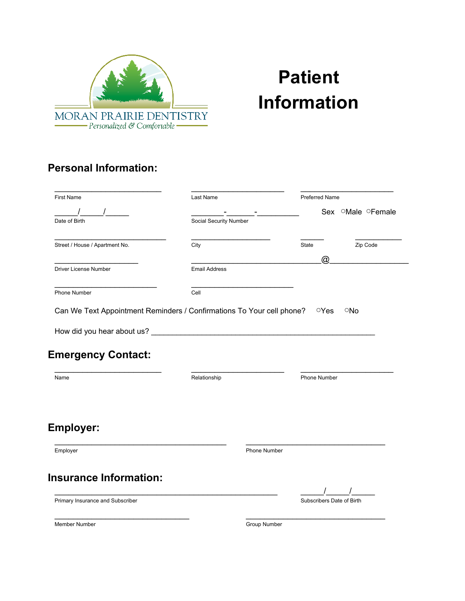

# **Patient Information**

#### **Personal Information:**

| <b>First Name</b>                                                                                 | Last Name              |                     | Preferred Name |                           |  |
|---------------------------------------------------------------------------------------------------|------------------------|---------------------|----------------|---------------------------|--|
|                                                                                                   |                        |                     |                | Sex OMale OFemale         |  |
| Date of Birth                                                                                     | Social Security Number |                     |                |                           |  |
| Street / House / Apartment No.                                                                    | City                   |                     | <b>State</b>   | Zip Code                  |  |
|                                                                                                   |                        |                     | @              |                           |  |
| <b>Driver License Number</b>                                                                      | <b>Email Address</b>   |                     |                |                           |  |
| Phone Number                                                                                      | Cell                   |                     |                |                           |  |
| Can We Text Appointment Reminders / Confirmations To Your cell phone?                             |                        |                     | $\circ$ Yes    | ONo                       |  |
|                                                                                                   |                        |                     |                |                           |  |
|                                                                                                   |                        |                     |                |                           |  |
|                                                                                                   |                        |                     |                |                           |  |
|                                                                                                   |                        |                     |                |                           |  |
|                                                                                                   |                        |                     |                |                           |  |
|                                                                                                   |                        |                     |                |                           |  |
|                                                                                                   |                        |                     |                |                           |  |
|                                                                                                   | Relationship           |                     | Phone Number   |                           |  |
|                                                                                                   |                        |                     |                |                           |  |
|                                                                                                   |                        |                     |                |                           |  |
| <b>Emergency Contact:</b><br>Name                                                                 |                        |                     |                |                           |  |
|                                                                                                   |                        |                     |                |                           |  |
|                                                                                                   |                        |                     |                |                           |  |
|                                                                                                   |                        |                     |                |                           |  |
|                                                                                                   |                        | <b>Phone Number</b> |                |                           |  |
|                                                                                                   |                        |                     |                |                           |  |
|                                                                                                   |                        |                     |                |                           |  |
|                                                                                                   |                        |                     |                |                           |  |
|                                                                                                   |                        |                     |                |                           |  |
| <b>Employer:</b><br>Employer<br><b>Insurance Information:</b><br>Primary Insurance and Subscriber |                        |                     |                | Subscribers Date of Birth |  |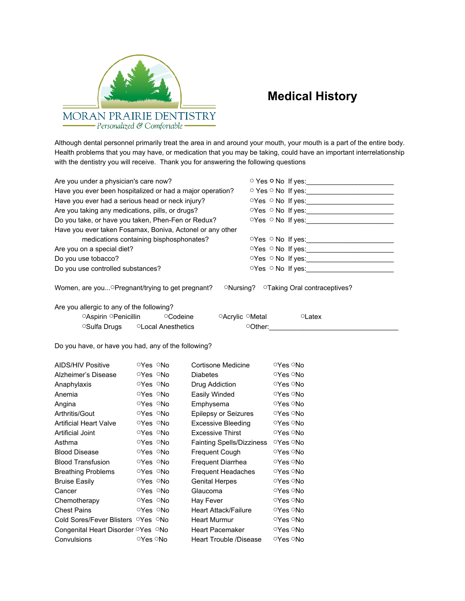

### **Medical History**

Although dental personnel primarily treat the area in and around your mouth, your mouth is a part of the entire body. Health problems that you may have, or medication that you may be taking, could have an important interrelationship with the dentistry you will receive. Thank you for answering the following questions

| Are you under a physician's care now?<br>Have you ever been hospitalized or had a major operation?<br>Have you ever had a serious head or neck injury?<br>Are you taking any medications, pills, or drugs?<br>Do you take, or have you taken, Phen-Fen or Redux?<br>Have you ever taken Fosamax, Boniva, Actonel or any other<br>medications containing bisphosphonates?<br>Are you on a special diet?<br>Do you use tobacco?<br>Do you use controlled substances? |                                       |                                  |  | $OYes \circ No$ If yes:                                                                                                                                                                                                                                                                                                          |  |  |
|--------------------------------------------------------------------------------------------------------------------------------------------------------------------------------------------------------------------------------------------------------------------------------------------------------------------------------------------------------------------------------------------------------------------------------------------------------------------|---------------------------------------|----------------------------------|--|----------------------------------------------------------------------------------------------------------------------------------------------------------------------------------------------------------------------------------------------------------------------------------------------------------------------------------|--|--|
| Women, are you OPregnant/trying to get pregnant?                                                                                                                                                                                                                                                                                                                                                                                                                   |                                       |                                  |  | ONursing? OTaking Oral contraceptives?                                                                                                                                                                                                                                                                                           |  |  |
| Are you allergic to any of the following?<br>OAspirin OPenicillin<br><sup>O</sup> Sulfa Drugs                                                                                                                                                                                                                                                                                                                                                                      | ○Codeine<br><b>OLocal Anesthetics</b> | ○Acrylic ○Metal                  |  | <sup>o</sup> Latex<br>$\circ$ Other: $\circ$ and $\circ$ and $\circ$ and $\circ$ and $\circ$ and $\circ$ and $\circ$ and $\circ$ and $\circ$ and $\circ$ and $\circ$ and $\circ$ and $\circ$ and $\circ$ and $\circ$ and $\circ$ and $\circ$ and $\circ$ and $\circ$ and $\circ$ and $\circ$ and $\circ$ and $\circ$ and $\circ$ |  |  |
| Do you have, or have you had, any of the following?                                                                                                                                                                                                                                                                                                                                                                                                                |                                       |                                  |  |                                                                                                                                                                                                                                                                                                                                  |  |  |
| <b>AIDS/HIV Positive</b>                                                                                                                                                                                                                                                                                                                                                                                                                                           | <b>OYes ONo</b>                       | Cortisone Medicine               |  | <b>○Yes ○No</b>                                                                                                                                                                                                                                                                                                                  |  |  |
| Alzheimer's Disease                                                                                                                                                                                                                                                                                                                                                                                                                                                | <b>○Yes ○No</b>                       | <b>Diabetes</b>                  |  | <b>○Yes ○No</b>                                                                                                                                                                                                                                                                                                                  |  |  |
| Anaphylaxis                                                                                                                                                                                                                                                                                                                                                                                                                                                        | <b>○Yes ○No</b>                       | Drug Addiction                   |  | <b>○Yes ○No</b>                                                                                                                                                                                                                                                                                                                  |  |  |
| Anemia                                                                                                                                                                                                                                                                                                                                                                                                                                                             | <b>○Yes ○No</b>                       | Easily Winded                    |  | <b>○Yes ○No</b>                                                                                                                                                                                                                                                                                                                  |  |  |
| Angina                                                                                                                                                                                                                                                                                                                                                                                                                                                             | <b>○Yes ○No</b>                       | Emphysema                        |  | <b>○Yes ○No</b>                                                                                                                                                                                                                                                                                                                  |  |  |
| Arthritis/Gout                                                                                                                                                                                                                                                                                                                                                                                                                                                     | <b>○Yes ○No</b>                       | <b>Epilepsy or Seizures</b>      |  | <b>ାYes ା\o</b>                                                                                                                                                                                                                                                                                                                  |  |  |
| <b>Artificial Heart Valve</b>                                                                                                                                                                                                                                                                                                                                                                                                                                      | <b>○Yes ○No</b>                       | <b>Excessive Bleeding</b>        |  | <b>○Yes ○No</b>                                                                                                                                                                                                                                                                                                                  |  |  |
| Artificial Joint                                                                                                                                                                                                                                                                                                                                                                                                                                                   | <b>○Yes ○No</b>                       | <b>Excessive Thirst</b>          |  | <b>○Yes ○No</b>                                                                                                                                                                                                                                                                                                                  |  |  |
| Asthma                                                                                                                                                                                                                                                                                                                                                                                                                                                             | <b>OYes ONo</b>                       | <b>Fainting Spells/Dizziness</b> |  | ⊙Yes ○No                                                                                                                                                                                                                                                                                                                         |  |  |
| <b>Blood Disease</b>                                                                                                                                                                                                                                                                                                                                                                                                                                               | <b>○Yes ○No</b>                       | Frequent Cough                   |  | ⊙Yes ○No                                                                                                                                                                                                                                                                                                                         |  |  |
| <b>Blood Transfusion</b>                                                                                                                                                                                                                                                                                                                                                                                                                                           | <b>○Yes ○No</b>                       | Frequent Diarrhea                |  | <b>○Yes ○No</b>                                                                                                                                                                                                                                                                                                                  |  |  |
| <b>Breathing Problems</b>                                                                                                                                                                                                                                                                                                                                                                                                                                          | <b>OYes ONo</b>                       | <b>Frequent Headaches</b>        |  | ○Yes ○No                                                                                                                                                                                                                                                                                                                         |  |  |
| <b>Bruise Easily</b>                                                                                                                                                                                                                                                                                                                                                                                                                                               | <b>OYes ONo</b>                       | <b>Genital Herpes</b>            |  | ○Yes ○No                                                                                                                                                                                                                                                                                                                         |  |  |
| Cancer                                                                                                                                                                                                                                                                                                                                                                                                                                                             | <b>OYes ONo</b>                       | Glaucoma                         |  | ○Yes ○No                                                                                                                                                                                                                                                                                                                         |  |  |
| Chemotherapy                                                                                                                                                                                                                                                                                                                                                                                                                                                       | <b>○Yes ○No</b>                       | Hay Fever                        |  | <b>○Yes ○No</b>                                                                                                                                                                                                                                                                                                                  |  |  |
| <b>Chest Pains</b>                                                                                                                                                                                                                                                                                                                                                                                                                                                 | <b>○Yes ○No</b>                       | <b>Heart Attack/Failure</b>      |  | <b>○Yes ○No</b>                                                                                                                                                                                                                                                                                                                  |  |  |
| Cold Sores/Fever Blisters ○Yes ○No                                                                                                                                                                                                                                                                                                                                                                                                                                 |                                       | <b>Heart Murmur</b>              |  | <b>○Yes ○No</b>                                                                                                                                                                                                                                                                                                                  |  |  |
| Congenital Heart Disorder <sup>O</sup> Yes ONo                                                                                                                                                                                                                                                                                                                                                                                                                     |                                       | <b>Heart Pacemaker</b>           |  | <b>○Yes ○No</b>                                                                                                                                                                                                                                                                                                                  |  |  |
| Convulsions                                                                                                                                                                                                                                                                                                                                                                                                                                                        | <b>○Yes ○No</b>                       | Heart Trouble /Disease           |  | <b>○Yes ○No</b>                                                                                                                                                                                                                                                                                                                  |  |  |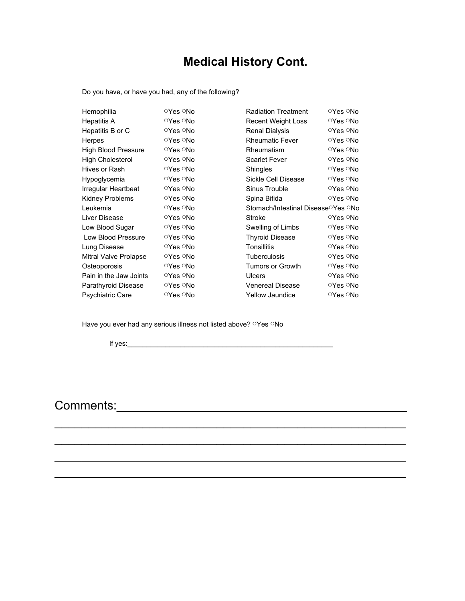### **Medical History Cont.**

Do you have, or have you had, any of the following?

| Hemophilia                 | ○Yes ○No        | <b>Radiation Treatment</b>                      | ○Yes ○No        |  |
|----------------------------|-----------------|-------------------------------------------------|-----------------|--|
| Hepatitis A                | <b>○Yes ○No</b> | <b>Recent Weight Loss</b>                       | ○Yes ○No        |  |
| Hepatitis B or C           | ○Yes ○No        | <b>Renal Dialysis</b>                           | ○Yes ○No        |  |
| <b>Herpes</b>              | ○Yes ○No        | <b>Rheumatic Fever</b>                          | ○Yes ○No        |  |
| <b>High Blood Pressure</b> | ○Yes ○No        | Rheumatism                                      | ○Yes ○No        |  |
| <b>High Cholesterol</b>    | ○Yes ○No        | <b>Scarlet Fever</b>                            | <b>୍Yes ା\o</b> |  |
| Hives or Rash              | <b>○Yes ○No</b> | Shingles                                        | ○Yes ○No        |  |
| Hypoglycemia               | ○Yes ○No        | Sickle Cell Disease                             | ○Yes ○No        |  |
| Irregular Heartbeat        | ○Yes ○No        | Sinus Trouble                                   | ○Yes ○No        |  |
| Kidney Problems            | ○Yes ○No        | Spina Bifida                                    | ○Yes ○No        |  |
| Leukemia                   | ○Yes ○No        | Stomach/Intestinal Disease <sup>o</sup> Yes ONo |                 |  |
| Liver Disease              | ○Yes ○No        | Stroke                                          | ○Yes ○No        |  |
| Low Blood Sugar            | ○Yes ○No        | Swelling of Limbs                               | ○Yes ାNo        |  |
| Low Blood Pressure         | <b>ିYes ିNo</b> | <b>Thyroid Disease</b>                          | ○Yes ାNo        |  |
| Lung Disease               | ○Yes ାNo        | <b>Tonsillitis</b>                              | ○Yes ○No        |  |
| Mitral Valve Prolapse      | <b>ିYes ିNo</b> | Tuberculosis                                    | <b>ିYes ିNo</b> |  |
| Osteoporosis               | ○Yes ○No        | <b>Tumors or Growth</b>                         | ○Yes ○No        |  |
| Pain in the Jaw Joints     | ○Yes ○No        | <b>Ulcers</b>                                   | ○Yes ାNo        |  |
| Parathyroid Disease        | ○Yes ○No        | <b>Venereal Disease</b>                         | <b>OYes ONo</b> |  |
| <b>Psychiatric Care</b>    | <b>OYes ONo</b> | <b>Yellow Jaundice</b>                          | ○Yes ○No        |  |

\_\_\_\_\_\_\_\_\_\_\_\_\_\_\_\_\_\_\_\_\_\_\_\_\_\_\_\_\_\_\_\_\_\_\_\_\_\_\_\_\_\_\_\_\_\_\_\_\_\_\_\_

\_\_\_\_\_\_\_\_\_\_\_\_\_\_\_\_\_\_\_\_\_\_\_\_\_\_\_\_\_\_\_\_\_\_\_\_\_\_\_\_\_\_\_\_\_\_\_\_\_\_\_\_

\_\_\_\_\_\_\_\_\_\_\_\_\_\_\_\_\_\_\_\_\_\_\_\_\_\_\_\_\_\_\_\_\_\_\_\_\_\_\_\_\_\_\_\_\_\_\_\_\_\_\_\_

\_\_\_\_\_\_\_\_\_\_\_\_\_\_\_\_\_\_\_\_\_\_\_\_\_\_\_\_\_\_\_\_\_\_\_\_\_\_\_\_\_\_\_\_\_\_\_\_\_\_\_\_

Have you ever had any serious illness not listed above? **Yes ONo** 

If yes:  $\frac{1}{2}$  if yes:  $\frac{1}{2}$  if yes:  $\frac{1}{2}$  if yes:  $\frac{1}{2}$  if yes:  $\frac{1}{2}$  if yes:  $\frac{1}{2}$  if  $\frac{1}{2}$  if  $\frac{1}{2}$  if  $\frac{1}{2}$  if  $\frac{1}{2}$  if  $\frac{1}{2}$  if  $\frac{1}{2}$  if  $\frac{1}{2}$  if  $\frac{1}{2}$  if  $\frac{1}{$ 

Comments:\_\_\_\_\_\_\_\_\_\_\_\_\_\_\_\_\_\_\_\_\_\_\_\_\_\_\_\_\_\_\_\_\_\_\_\_\_\_\_\_\_\_\_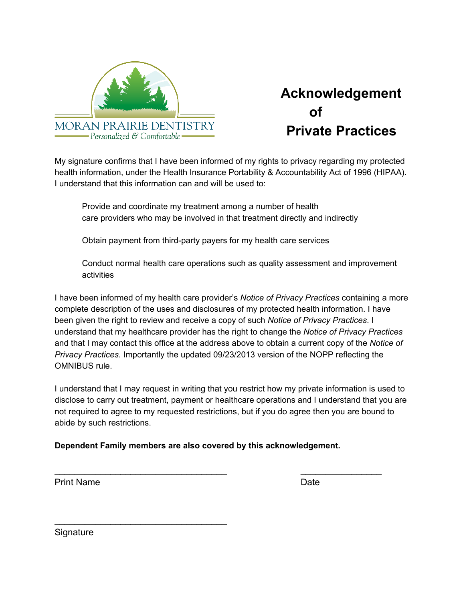

## **Acknowledgement of Private Practices**

My signature confirms that I have been informed of my rights to privacy regarding my protected health information, under the Health Insurance Portability & Accountability Act of 1996 (HIPAA). I understand that this information can and will be used to:

Provide and coordinate my treatment among a number of health care providers who may be involved in that treatment directly and indirectly

Obtain payment from third-party payers for my health care services

Conduct normal health care operations such as quality assessment and improvement activities

I have been informed of my health care provider's *Notice of Privacy Practices* containing a more complete description of the uses and disclosures of my protected health information. I have been given the right to review and receive a copy of such *Notice of Privacy Practices*. I understand that my healthcare provider has the right to change the *Notice of Privacy Practices* and that I may contact this office at the address above to obtain a current copy of the *Notice of Privacy Practices.* Importantly the updated 09/23/2013 version of the NOPP reflecting the OMNIBUS rule.

I understand that I may request in writing that you restrict how my private information is used to disclose to carry out treatment, payment or healthcare operations and I understand that you are not required to agree to my requested restrictions, but if you do agree then you are bound to abide by such restrictions.

\_\_\_\_\_\_\_\_\_\_\_\_\_\_\_\_\_\_\_\_\_\_\_\_\_\_\_\_\_\_\_\_\_\_ \_\_\_\_\_\_\_\_\_\_\_\_\_\_\_\_

**Dependent Family members are also covered by this acknowledgement.**

Print Name **Date** 

**Signature** 

\_\_\_\_\_\_\_\_\_\_\_\_\_\_\_\_\_\_\_\_\_\_\_\_\_\_\_\_\_\_\_\_\_\_